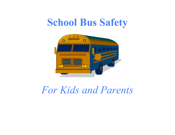# **School Bus Safety**



*For Kids and Parents*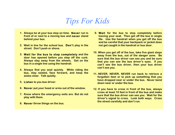## *Tips For Kids*

- **1. Always be at your bus stop on time. Never run in front of or next to a moving bus and never stand behind your bus.**
- **2. Wait in line for the school bus. Don't play in the street. Don't push or shove.**
- **3. Wait for the bus to stop completely and the door has opened before you step off the curb. Always stay away from the wheels. Get on the bus in a single line using the handrail.**
- **4. Always find you seat quickly. While riding the bus, stay seated, face forward, and keep the aisles clear. Talk quietly.**
- **5. Listen to you bus driver.**
- **6. Never put your head or arms out of the window.**
- **7. Know where the emergency exits are. But do not play with them.**
- **8. Never throw things on the bus.**
- **9. Wait for the bus to stop completely before leaving your seat. Then get off the bus in single file. Use the handrail when you get off the bus and be careful that your backpack or jacket does not get caught in the handrail or bus door.**
- **10. When you get off of the bus, take five giant steps away from the bus, out of the danger zone. Be sure that the bus driver can see you and be sure that you can see the bus driver's eyes. If you can't see the bus driver, then your bus driver can't see you.**
- **11. NEVER, NEVER, NEVER run back to retrieve a forgotten item or to pick up something that you have dropped near or under the bus. Never bend down near or under the bus.**
- **12. If you have to cross in front of the bus, always cross at least 10 feet in front of the bus and make sure that the bus driver can see you. Wait for the driver's signal to cross. Look both ways. Cross the street carefully and don't run.**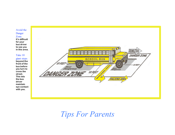#### Avoid the Danger

### Zone.

**It's difficult for your bus driver to see you in this area.**

#### Take 10

giant steps **beyond the front of the bus before you turn to cross the street. This lets the bus driver maintain eye contact with you.**



*Tips For Parents*